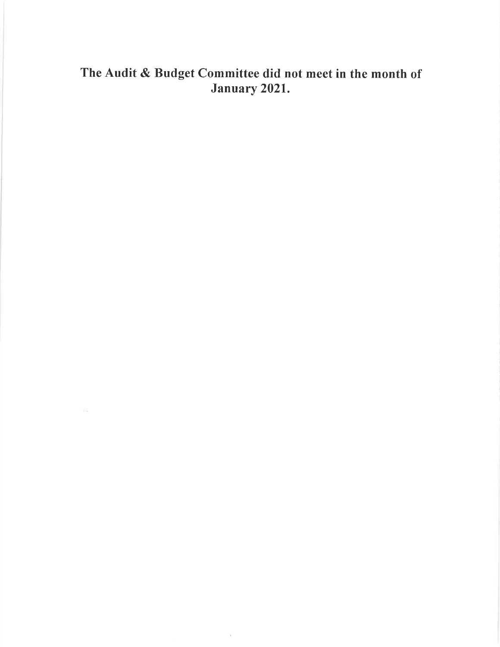### The Audit & Budget Committee did not meet in the month of January 2021,

 $\chi$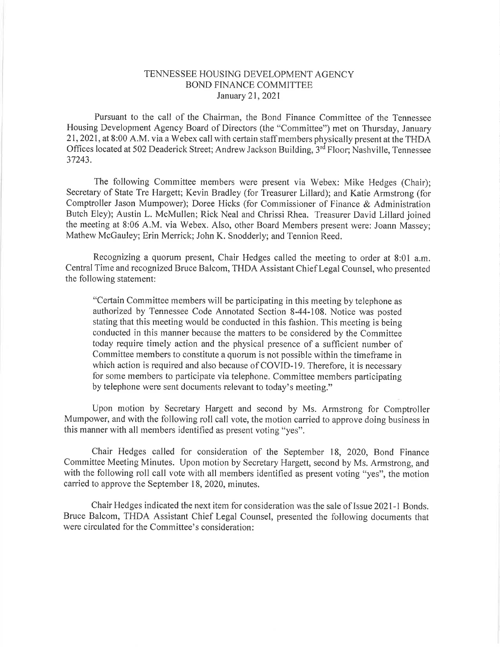#### TENNESSEE HOUSING DEVELOPMENT AGENCY BOND FTNANCE COMMITTEE January 21,2021

Pursuant to the call of the Chairman, the Bond Finance Committee of the Tennessee Housing Development Agency Board of Directors (the "Committee") met on Thursday, January 21,2021, at 8:00 A.M. via a Webex call with certain staff members physically present at the THDA Offices located at 502 Deaderick Street; Andrew Jackson Building, 3<sup>rd</sup> Floor; Nashville, Tennessee 37243.

The following Committee members were present via Webex: Mike Hedges (Chair); Secretary of State Tre Hargett; Kevin Bradley (for Treasurer Lillard); and Katie Armstrong (for Comptroller Jason Mumpower); Doree Hicks (for Commissioner of Finance & Administration Butch Eley); Austin L. McMullen; Rick Neal and Chrissi Rhea. Treasurer David Lillard joined the meeting at 8:06 A.M. via Webex. Also, other Board Members present were: Joann Massey; Mathew McGauley; Erin Merick; John K. Snodderly; and Tennion Reed.

Recognizing a quorum present, Chair Hedges called the meeting to order at 8:01 a.m. CentralTime and recognized Bruce Balcom, THDA Assistant Chief Legal Counsel, who presented the following statement:

"Ceftain Committee members will be participating in this meeting by telephone as authorized by Tennessee Code Annotated Section 8-44-108. Notice was posted stating that this meeting would be conducted in this fashion. This meeting is being conducted in this manner because the matters to be considered by the Committee today require timely action and the physical presence of a sufficient number of Committee members to constitute a quorum is not possible within the timeframe in which action is required and also because of COVID-19. Therefore, it is necessary for some members to participate via telephone. Committee members participating by telephone were sent documents relevant to today's meeting."

Upon motion by Secretary Hargett and second by Ms. Armstrong for Comptroller Mumpower, and with the following roll call vote, the motion carried to approve doing business in this manner with all members identified as present voting "yes".

Chair Hedges called for consideration of the September 18, 2020, Bond Finance Committee Meeting Minutes. Upon motion by Secretary Hargett, second by Ms. Armstrong, and with the following roll call vote with all members identified as present voting "yes", the motion carried to approve the September 18, 2020, minutes.

Chair Hedges indicated the next item for consideration was the sale of Issue 2021-l Bonds. Bruce Balcom, THDA Assistant Chief Legal Counsel, presented the following documents that were circulated for the Committee's consideration: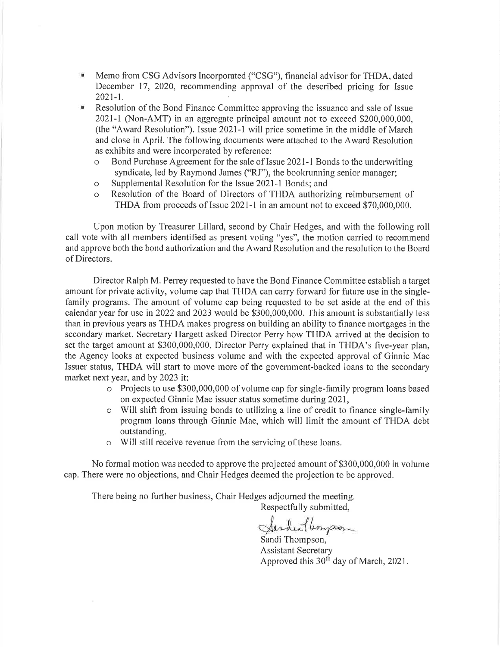- $\mathbf{u}$ Memo from CSG Advisors Incorporated ("CSG"), financial advisor for THDA, dated December 17, 2020, recommending approval of the described pricing for Issue 2021-1.
- Resolution of the Bond Finance Committee approving the issuance and sale of Issue  $\mathbf{u}$ 2021-l (Non-AMT) in an aggregate principal amount not to exceed \$200,000,000, (the "Award Resolution"). Issue  $2021-1$  will price sometime in the middle of March and close in April. The following documents were attached to the Award Resolution as exhibits and were incorporated by reference:
	- Bond Purchase Agreement for the sale of Issue 2021-1 Bonds to the underwriting syndicate, led by Raymond James ("RJ"), the bookrunning senior manager;
	- o Supplemental Resolution for the Issue 2021-l Bonds; and
	- o Resolution of the Board of Directors of THDA authorizing reimbursement of THDA from proceeds of Issue 2021-l in an amount not to exceed \$70,000,000.

Upon motion by Treasurer Lillard, second by Chair Hedges, and with the following roll call vote with all members identified as present voting "yes", the motion carried to recommend and approve both the bond authorization and the Award Resolution and the resolution to the Board of Directors.

Director Ralph M. Perrey requested to have the Bond Finance Committee establish atarget amount for private activity, volume cap that THDA can carry forward for future use in the singlefamily programs. The amount of volume cap being requested to be set aside at the end of this calendar year for use in 2022 and 2023 would be \$300,000,000. This amount is substantially less than in previous years as THDA makes progress on building an ability to finance mortgages in the secondary market. Secretary Hargett asked Director Perry how THDA arrived at the decision to set the target amount at \$300,000,000. Director Perry explained that in THDA's five-year plan, the Agency looks at expected business volume and with the expected approval of Ginnie Mae Issuer status, THDA will start to move more of the government-backed loans to the secondary market next year, and by 2023 it:

- o Projects to use \$300,000,000 of volume cap for single-family program loans based on expected Ginnie Mae issuer status sometime during 2021,
- o Will shift from issuing bonds to utilizing a line of credit to finance single-family program loans through Ginnie Mae, which will limit the amount of THDA debt outstanding.
- o Will still receive revenue from the servicing of these loans.

No formal motion was needed to approve the projected amount of \$300,000,000 in volume cap. There were no objections, and Chair Hedges deemed the projection to be approved.

There being no further business, Chair Hedges adjourned the meeting.

Respectfully submitted,

Sanden (lempson

Sandi Thompson, Assistant Secretary Approved this 30<sup>th</sup> day of March, 2021.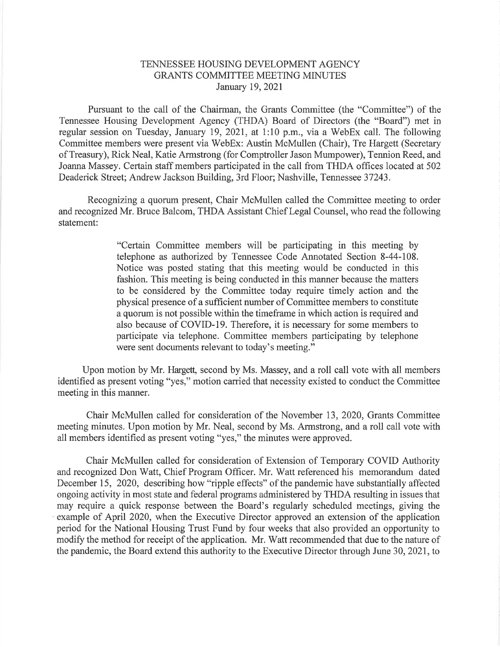### TENNESSEE HOUSING DEVELOPMENT AGENCY GRANTS COMMITTEE MEETING MINUTES January 19,2021

Pursuant to the call of the Chairman, the Grants Committee (the "Committee") of the Tennessee Housing Development Agency (THDA) Board of Directors (the "Board") met in regular session on Tuesday, January 19,202I, at 1:10 p.m., via a WebEx call. The following Committee members were present via WebEx: Austin McMullen (Chair), Tre Hargett (Secretary of Treasury), Rick Neal, Katie Armstrong (for Comptroller Jason Mumpower), Tennion Reed, and Joanna Massey. Certain staff members participated in the call from THDA offices located at 502 Deaderick Street; Andrew Jackson Building, 3rd Floor; Nashville, Tennessee 37243.

Recognizing a quorum present, Chair McMullen called the Committee meeting to order and recognized Mr. Bruce Balcom, THDA Assistant Chief Legal Counsel, who read the following statement:

> "Certain Committee members will be participating in this meeting by telephone as authorized by Tennessee Code Annotated Section 8-44-108. Notice was posted stating that this meeting would be conducted in this fashion. This meeting is being conducted in this manner because the matters to be considered by the Committee today require timely action and the physical presence of a sufficient number of Committee members to constitute a quorum is not possible within the timeframe in which action is required and also because of COVID-19. Therefore, it is necessary for some members to participate via telephone. Committee members participating by telephone were sent documents relevant to today's meeting."

Upon motion by Mr. Hargett, second by Ms. Massey, and a roll call vote with all members identified as present voting "yes," motion carried that necessity existed to conduct the Committee meeting in this manner.

Chair McMullen called for consideration of the November 13, 2020, Grants Committee meeting minutes. Upon motion by Mr. Neal, second by Ms. Armstrong, and a roll call vote with all members identified as present voting "yes," the minutes were approved.

Chair McMullen called for consideration of Extension of Temporary COVID Authority and recognized Don Watt, Chief Program Officer. Mr. Watt referenced his memorandum dated December 15, 2020, describing how "ripple effects" of the pandemic have substantially affected ongoing activity in most state and federal programs administered by THDA resulting in issues that may require a quick response between the Board's regularly scheduled meetings, giving the example of April 2020, when the Executive Director approved an extension of the application period for the National Housing Trust Fund by four weeks that also provided an opportunity to modify the method for receipt of the application. Mr. Watt recommended that due to the nature of the pandemic, the Board extend this authority to the Executive Director through June 30, 2021, to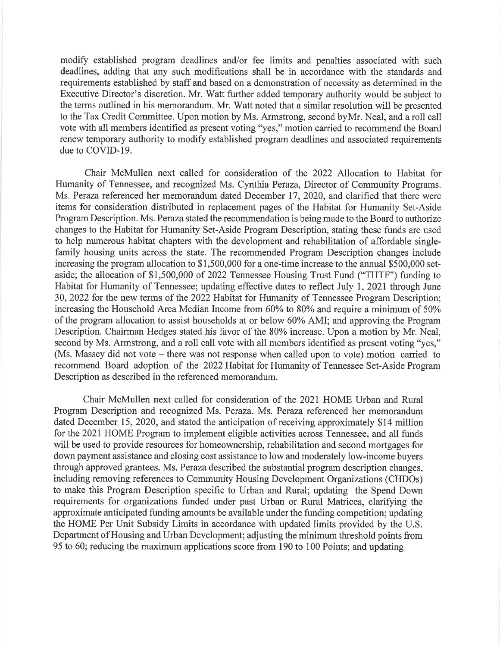modify established program deadlines and/or fee limits and penalties associated with such deadlines, adding that any such modifications shall be in accordance with the standards and requirements established by staff and based on a demonstration of necessity as determined in the Executive Director's discretion. Mr. Watt further added temporary authority would be subject to the terms outlined in his memorandum. Mr. Watt noted that a similar resolution will be presented to the Tax Credit Committee. Upon motion by Ms. Armstrong, second byMr. Neal, and a roll call vote with all members identified as present voting "yes," motion carried to recommend the Board renew temporary authority to modify established program deadlines and associated requirements due to COVID-I9.

Chair McMullen next called for consideration of the 2022 Allocation to Habitat for Humanity of Tennessee, and recognized Ms. Cynthia Peraza, Director of Community Programs. Ms. Peraza referenced her memorandum dated December 17, 2020, and clarified that there were items for consideration distributed in replacement pages of the Habitat for Humanity Set-Aside Program Description. Ms. Peraza stated the recommendation is being made to the Board to authorize changes to the Habitat for Humanity Set-Aside Program Description, stating these funds are used to help numerous habitat chapters with the development and rehabilitation of affordable singlefamily housing units across the state. The recommended Program Description changes include increasing the program allocation to \$1,500,000 for a one-time increase to the annual \$500,000 setaside; the allocation of \$1,500,000 of 2022 Tennessee Housing Trust Fund ("THTF") funding to Habitat for Humanity of Tennessee; updating effective dates to reflect July 1, 202I through June 30,2022 for the new terms of the 2022 Habitat for Humanity of Tennessee Program Description; increasing the Household Area Median Income from  $60\%$  to  $80\%$  and require a minimum of  $50\%$ of the program allocation to assist households at or below 60% AMI; and approving the Program Description. Chairman Hedges stated his favor of the 80% increase. Upon a motion by Mr. Neal, second by Ms. Armstrong, and a roll call vote with all members identified as present voting "yes," (Ms. Massey did not vote – there was not response when called upon to vote) motion carried to recommend Board adoption of the 2022 Habitat for Humanity of Tennessee Set-Aside Program Description as described in the referenced memorandum.

Chair McMullen next called for consideration of the 2021 HOME Urban and Rural Program Description and recognized Ms. Peraza. Ms. Peraza referenced her memorandum dated December 15, 2020, and stated the anticipation of receiving approximately \$14 million for the 202I HOME Program to implement eligible activities across Tennessee, and all funds will be used to provide resources for homeownership, rehabilitation and second mortgages for down payment assistance and closing cost assistance to low and moderately low-income buyers through approved grantees. Ms. Peraza described the substantial program description changes, including removing references to Community Housing Development Organizations (CHDOs) to make this Program Description specific to Urban and Rural; updating the Spend Down requirements for organizations funded under past Urban or Rural Matrices, clarifying the approximate anticipated funding amounts be available under the funding competition; updating the HOME Per Unit Subsidy Limits in accordance with updated limits provided by the U.S. Department of Housing and Urban Development; adjusting the minimum threshold points from 95 to 60; reducing the maximum applications score from 190 to 100 Points; and updating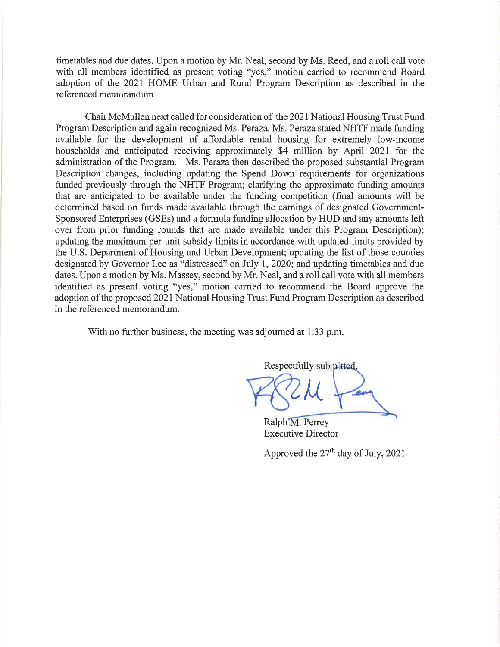timetables and due dates. Upon a motion by Mr. Neal, second by Ms. Reed, and a roll call vote with all members identified as present voting "yes," motion carried to recommend Board adoption of the 2021 HOME Urban and Rural Program Description as described in the referenced memorandum.

Chair McMullen next called for consideration of the 2021 National Housing Trust Fund Program Description and again recognized Ms. Peraza. Ms. Peraza stated NHTF made funding available for the development of affordable rental housing for extremely low-income households and anticipated receiving approximately \$4 million by April 2021 for the administration of the Program. Ms. Peraza then described the proposed substantial Program Description changes, including updating the Spend Down requirements for organizations funded previously through the NHTF Program; clarifying the approximate funding amounts that are anticipated to be available under the funding competition (final amounts will be determined based on funds made available through the earnings of designated Government-Sponsored Enterprises (GSEs) and a formula funding allocation by HUD and any amounts left over from prior funding rounds that are made available under this Program Description); updating the maximum per-unit subsidy limits in accordance with updated limits provided by the U.S. Department of Housing and Urban Development; updating the list of those counties designated by Governor Lee as "distressed" on July 1, 2020; and updating timetables and due dates. Upon a motion by Ms. Massey, second by Mr. Neal, and a roll call vote with all members identified as present voting "yes," motion carried to recommend the Board approve the adoption of the proposed 2021 National Housing Trust Fund Program Description as described in the referenced memorandum.

With no further business, the meeting was adjourned at 1:33 p.m.

Respectfully submitted.  ${\cal M}$ 

Ralph M. Perrey Executive Director

Approved the  $27<sup>th</sup>$  day of July, 2021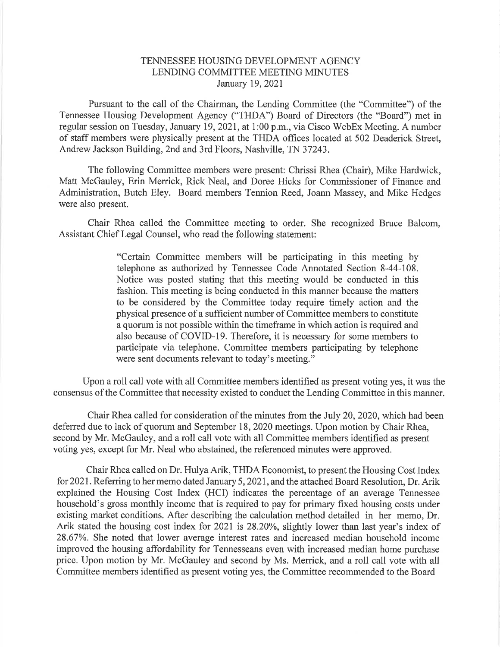### TENNESSEE HOUSING DEVELOPMENT AGENCY LENDING COMMITTEE MEETING MINUTES January 19,2021

Pursuant to the call of the Chairman, the Lending Committee (the "Committee") of the Tennessee Housing Development Agency ("THDA") Board of Directors (the "Board") met in regular session on Tuesday, January 19,2021, at 1:00 p.m., via Cisco WebEx Meeting. A number of staff members were physically present at the THDA offices located at 502 Deaderick Street, Andrew Jackson Building, 2nd and 3rd Floors, Nashville, TN 37243.

The following Committee members were present: Chrissi Rhea (Chair), Mike Hardwick, Matt McGauley, Erin Merrick, Rick Neal, and Doree Hicks for Commissioner of Finance and Administration, Butch Eley. Board members Tennion Reed, Joann Massey, and Mike Hedges were also present.

Chair Rhea called the Committee meeting to order. She recognized Bruce Balcom, Assistant Chief Legal Counsel, who read the following statement:

> "Certain Committee members will be participating in this meeting by telephone as authorized by Tennessee Code Annotated Section 8-44-108. Notice was posted stating that this meeting would be conducted in this fashion. This meeting is being conducted in this manner because the matters to be considered by the Committee today require timely action and the physical presence of a sufficient number of Committee members to constitute a quorum is not possible within the timeframe in which action is required and also because of COVID-19. Therefore, it is necessary for some members to participate via telephone. Committee members participating by telephone were sent documents relevant to today's meeting."

Upon a roll call vote with all Committee members identified as present voting yes, it was the consensus of the Committee that necessity existed to conduct the Lending Committee in this manner.

Chair Rhea called for consideration of the minutes from the July 20,2020, which had been deferred due to lack of quorum and September 18,2020 meetings. Upon motion by Chair Rhea, second by Mr. McGauley, and a roll call vote with all Committee members identified as present voting yes, except for Mr. Neal who abstained, the referenced minutes were approved.

Chair Rhea called on Dr. Hulya Arik, THDA Economist, to present the Housing Cost Index for 2021. Referring to her memo dated January 5, 2021, and the attached Board Resolution, Dr. Arik explained the Housing Cost Index (HCI) indicates the percentage of an average Tennessee household's gross monthly income that is required to pay for primary fixed housing costs under existing market conditions. After describing the calculation method detailed in her memo, Dr. Arik stated the housing cost index for 2021 is 28.20%, slightly lower than last year's index of 28.67%. She noted that lower average interest rates and increased median household income improved the housing affordability for Tennesseans even with increased median home purchase price. Upon motion by Mr. McGauley and second by Ms. Merrick, and a roll call vote with all Committee members identified as present voting yes, the Committee recommended to the Board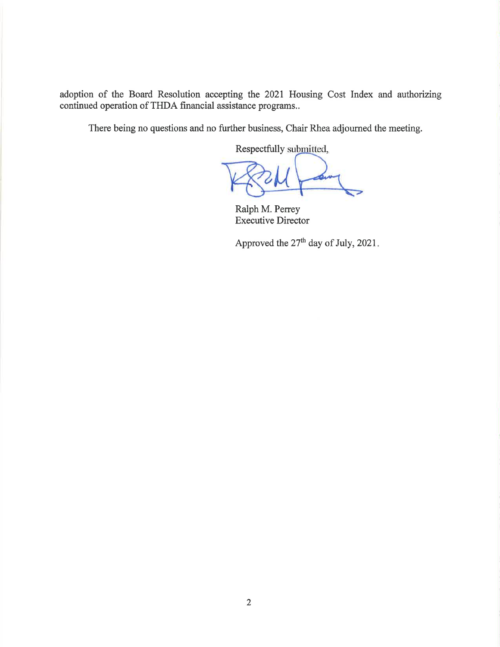adoption of the Board Resolution acceping the 2021 Housing Cost Index and authorizing continued operation of THDA financial assistance programs..

There being no questions and no further business, Chair Rhea adjourned the meeting.

Respectfully submitted,

 $\mu$ 

Ralph M. Perrey Executive Director

Approved the  $27<sup>th</sup>$  day of July, 2021.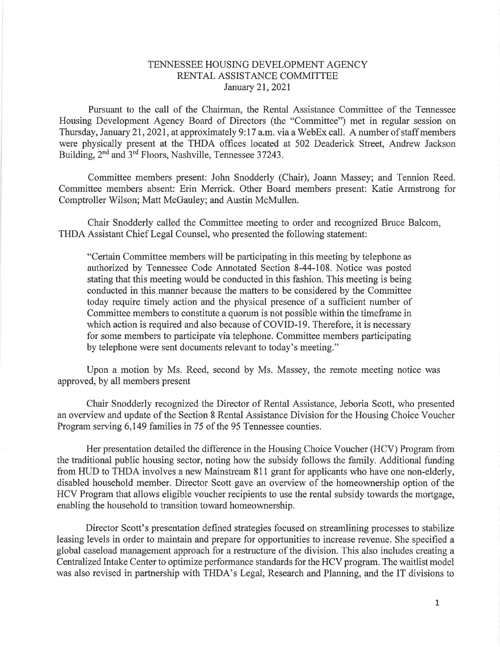# TENNESSEE HOUSING DEVELOPMENT AGENCY RENTAL ASSISTANCE COMMITTEE<br>January 21, 2021

Pursuant to the call of the Chairman, the Rental Assistance Committee of the Tennessee Housing Development Agency Board of Directors (the "Committee") met in regular session on Thursday, January 2I,202I, at approximately 9:I7 a.m. via a WebEx call. A number of staff members were physically present at the THDA offices located at 502 Deaderick Street, Andrew Jackson Building, 2<sup>nd</sup> and 3<sup>rd</sup> Floors, Nashville, Tennessee 37243.

Committee members present: John Snodderly (Chair), Joann Massey; and Tennion Reed. Committee members absent: Erin Merrick. Other Board members present: Katie Armstrong for Comptroller Wilson; Matt McGauley; and Austin McMullen.

Chair Snodderly called the Committee meeting to order and recognized Bruce Balcom, THDA Assistant Chief Legal Counsel, who presented the following statement:

"Certain Committee members will be participating in this meeting by telephone as authorized by Tennessee Code Annotated Section 8-44-108. Notice was posted stating that this meeting would be conducted in this fashion. This meeting is being conducted in this manner because the matters to be considered by the Committee today require timely action and the physical presence of a sufficient number of Committee members to constitute a quorum is not possible within the timeframe in which action is required and also because of COVID-19. Therefore, it is necessary for some members to participate via telephone. Committee members participating by telephone were sent documents relevant to today's meeting."

Upon a motion by Ms. Reed, second by Ms. Massey, the remote meeting notice was approved, by all members present

Chair Snodderly recognized the Director of Rental Assistance, Jeboria Scott, who presented an overview and update of the Section 8 Rental Assistance Division for the Housing Choice Voucher Program serving 6,149 families in 75 of the 95 Tennessee counties.

Her presentation detailed the difference in the Housing Choice Voucher (HCV) Program from the traditional public housing sector, noting how the subsidy follows the family. Additional funding from HUD to THDA involves a new Mainstream 811 grant for applicants who have one non-elderly, disabled household member. Director Scott gave an overview of the homeownership option of the HCV Program that allows eligible voucher recipients to use the rental subsidy towards the mortgage, enabling the household to transition toward homeownership.

Director Scott's presentation defined strategies focused on streamlining processes to stabilize leasing levels in order to maintain and prepare for opportunities to increase revenue. She specified a global caseload management approach for a restructure of the division. This also includes creating a Centralized Intake Center to optimize performance standards for the HCV program. The waitlist model was also revised in partnership with THDA's Legal, Research and Planning, and the IT divisions to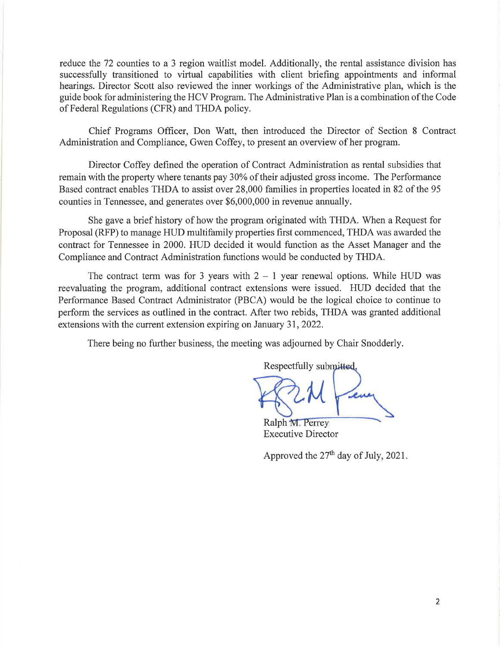reduce the 72 counties to a 3 region waitlist model. Additionally, the rental assistance division has successfully transitioned to virtual capabilities with client briefing appointments and informal hearings. Director Scott also reviewed the inner workings of the Administrative plan, which is the guide book for administering the HCV Program. The Administrative Plan is a combination of the Code of Federal Regulations (CFR) and THDA policy.

Chief Programs Officer, Don Watt, then introduced the Director of Section 8 Contract Administration and Compliance, Gwen Coffey, to present an overview of her program.

Director Coffey defined the operation of Contract Administration as rental subsidies that remain with the property where tenants pay 30% of their adjusted gross income. The Performance Based contract enables THDA to assist over 28,000 families in properties located in 82 of the 95 counties in Tennessee, and generates over \$6,000,000 in revenue annually.

She gave a brief history of how the program originated with THDA. When a Request for Proposal (RFP) to manage HUD multifamily properties first commenced, THDA was awarded the contract for Tennessee in 2000. HUD decided it would function as the Asset Manager and the Compliance and Contract Administration functions would be conducted by THDA.

The contract term was for 3 years with  $2 - 1$  year renewal options. While HUD was reevaluating the program, additional contract extensions were issued. HUD decided that the Performance Based Contract Administrator (PBCA) would be the logical choice to continue to perform the services as outlined in the contract. After two rebids, THDA was granted additional extensions with the current extension expiring on January 31,2022.

There being no further business, the meeting was adjourned by Chair Snodderly.

Respectfully submitted,  $\mathcal M$ 

Ralph M. Perrey Executive Director

Approved the  $27<sup>th</sup>$  day of July, 2021.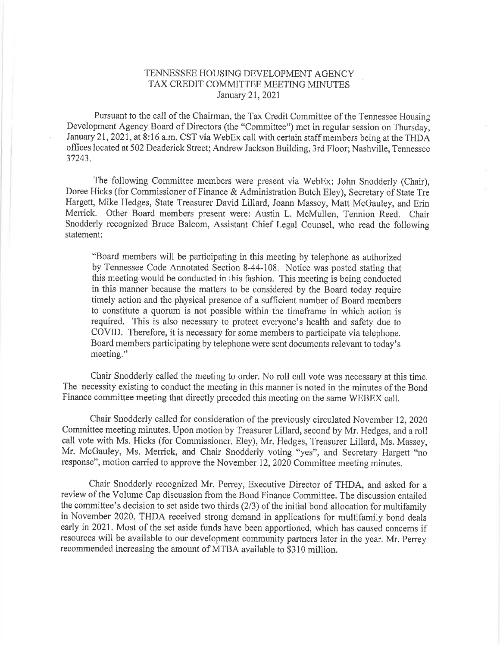# TENNESSEE HOUSING DEVELOPMENT AGENCY TAX CREDIT COMMITTEE MEETING MINUTES January 2I,2021

Pursuant to the call of the Chairman, the Tax Credit Committee of the Tennessee Housing Development Agency Board of Directors (the "Committee") met in regular session on Thursday, January 21, 2021, at 8:16 a.m. CST via WebEx call with certain staff members being at the THDA offices located at502 Deaderick Street; Andrew Jackson Building, 3rd Floor; Nashville, Tennessee 37243,

The fbllowing Committee members were present via WebEx: John Snodderly (Chair), Doree Hicks (for Commissioner of Finance & Administration Butch Eley), Secretary of State Tre Hargett, Mike Hedges, State Treasurer David Lillard, Joann Massey, Matt McGauley, and Erin Merrick. Other Board members present were: Austin L. McMullen, Tennion Reed. Chair Snodderly recognized Bruce Balcom, Assistant Chief Legal Counsel, who read the following statement:

"Board members will be participating in this rneeting by telephone as authorized by Tennessee Code Annotated Section 8-44-108. Notice was posted stating that this meeting would be conducted in this fashion. This meeting is being conducted in this manner because the matters to be considered by the Board today require timely action and the physical presence of a sufficient number of Board members to constitute a quorum is not possible within the timeframe in which action is required. This is also necessary to protect everyone's health and safety due to COVID. Therefore, it is necessary for some members to participate via telephone, Board members participating by telephone were sent documents relevant to today's meeting,"

Chair Snodderly called the meeting to order. No roll call vote was necessary at this time, The necessity existing to conduct the meeting in this manner is noted in the minutes of the Bond Finance committee meeting that directly preceded this meeting on the same WEBEX call.

Chair Snodderly called for consideration of the previously circulated November 12, 2020 Committee meeting minutes, Upon motion by Treasurer Lillard, second by Mr, Hedges, and a roll call vote with Ms. Hicks (for Commissioner, Eley), Mr. Hedges, Treasurer Lillard, Ms. Massey, Mr. McGauley, Ms. Merick, and Chair Snodderly voting "yes", and Secretary Hargett "no response", motion carried to approve the November 12,2020 Committee meeting minutes.

Chair Snodderly recognized Mr. Peney, Executive Director of THDA, and asked for <sup>a</sup> review of the Volume Cap discussion from the Bond Finance Committee. The discussion entailed the committee's decision to set aside two thirds  $(2/3)$  of the initial bond allocation for multifamily in November 2020. THDA received strong demand in applications for multifamily bond deals early in 2021. Most of the set aside funds have been apportioned, which has caused concerns if resources will be available to our development community partners later in the year, Mr. Perrey recommended increasing the amount of MTBA available to \$310 million.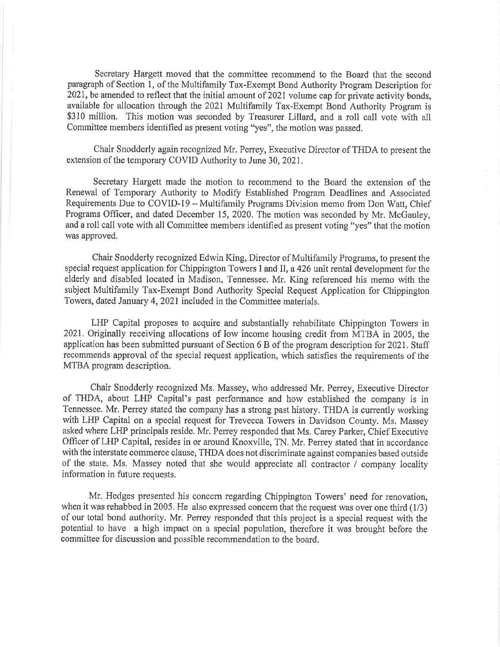Secretary Hargett moved that the committee recommend to the Board that the second paragraph of Section 1, of the Multifamily Tax-Exempt Bond Authority Program Description for 2021, be amended to reflect that the initial amount of 2021 volume cap for private activity bonds, available for allocation through the 2021 Multifamily Tax-Exempt Bond Authority Program is \$310 million. This motion was seconded by Treasurer Lillard, and a roll call vote with all Committee members identified as present voting "yes", the motion was passed.

Chair Snodderly again recognized Mr. Peney, Executive Director of THDA to present the extension of the temporary COVID Authority to June 30,2021,

Secretary Hargett made the motion to recommend to the Board the extension of the Renewal of Temporary Authority to Modify Established Program Deadlines and Associated Requirements Due to COVID-19 - Multifamily Programs Division memo from Don Watt, Chief Programs Officer, and dated December 15,2020, The motion was seconded by Mr. McGauley, and a roll call vote with all Committee members identified as present voting "yes" that the motion was approved.

Chair Snodderly recognized Edwin King, Director of Multifamily Programs, to present the special request application for Chippington Towers I and lI, a 426 unit rental development for the elderly and disabled located in Madison, Tennessee. Mr, King referenced his memo with the subject Multifamily Tax-Exempt Bond Authority Special Request Application for Chippington Towers, dated January 4, 2021 included in the Committee materials.

LHP Capital proposes to acquire and substantially rehabilitate Chippington Towers in 202L Originally receiving allocations of low income housing credit from MTBA in 2005, the application has been submitted pursuant of Section 6 B of the program description for 2021. Staff recommends approval of the special request application, which satisfies the requirements of the MTBA program description.

Chair Snodderly recognized Ms. Massey, who addressed Mr. Peney, Executive Director of THDA, about LHP Capital's past performance and how established the company is in Tennessee. Mr. Perrey stated the company has a strong past history. THDA is currently working with LHP Capital on a special request for Trevecca Towers in Davidson County. Ms, Massey asked where LHP principals reside. Mr. Perrey responded that Ms, Carey Parker, Chief Executive Officer of LHP Capital, resides in or around Knoxville, TN. Mr. Perrey stated that in accordance with the interstate commerce clause, THDA does not discriminate against companies based outside of the state. Ms. Massey noted that she would appreciate all contractor / company locality information in future requests.

Mr. Hedges presented his concem regarding Chippington Towers' need for renovation, when it was rehabbed in 2005. He also expressed concern that the request was over one third  $(1/3)$ of our total bond authority. Mr. Perrey responded that this project is a special request with the potential to have a high impact on a special population, therefore it was brought before the committee for discussion and possible recommendation to the board.